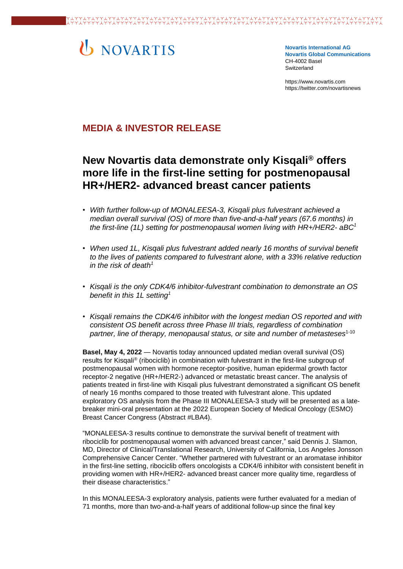# U NOVARTIS

**Novartis International AG Novartis Global Communications**  CH-4002 Basel **Switzerland** 

[https://www.novartis.com](https://www.novartis.com/) https://twitter.com/novartisnews

## **MEDIA & INVESTOR RELEASE**

## **New Novartis data demonstrate only Kisqali® offers more life in the first-line setting for postmenopausal HR+/HER2- advanced breast cancer patients**

- *With further follow-up of MONALEESA-3, Kisqali plus fulvestrant achieved a median overall survival (OS) of more than five-and-a-half years (67.6 months) in the first-line (1L) setting for postmenopausal women living with HR+/HER2- aBC<sup>1</sup>*
- *When used 1L, Kisqali plus fulvestrant added nearly 16 months of survival benefit to the lives of patients compared to fulvestrant alone, with a 33% relative reduction in the risk of death<sup>1</sup>*
- *Kisqali is the only CDK4/6 inhibitor-fulvestrant combination to demonstrate an OS benefit in this 1L setting<sup>1</sup>*
- *Kisqali remains the CDK4/6 inhibitor with the longest median OS reported and with consistent OS benefit across three Phase III trials, regardless of combination partner, line of therapy, menopausal status, or site and number of metasteses*1-10

**Basel, May 4, 2022** — Novartis today announced updated median overall survival (OS) results for Kisqali® (ribociclib) in combination with fulvestrant in the first-line subgroup of postmenopausal women with hormone receptor-positive, human epidermal growth factor receptor-2 negative (HR+/HER2-) advanced or metastatic breast cancer. The analysis of patients treated in first-line with Kisqali plus fulvestrant demonstrated a significant OS benefit of nearly 16 months compared to those treated with fulvestrant alone. This updated exploratory OS analysis from the Phase III MONALEESA-3 study will be presented as a latebreaker mini-oral presentation at the 2022 European Society of Medical Oncology (ESMO) Breast Cancer Congress (Abstract #LBA4).

"MONALEESA-3 results continue to demonstrate the survival benefit of treatment with ribociclib for postmenopausal women with advanced breast cancer," said Dennis J. Slamon, MD, Director of Clinical/Translational Research, University of California, Los Angeles Jonsson Comprehensive Cancer Center. "Whether partnered with fulvestrant or an aromatase inhibitor in the first-line setting, ribociclib offers oncologists a CDK4/6 inhibitor with consistent benefit in providing women with HR+/HER2- advanced breast cancer more quality time, regardless of their disease characteristics."

In this MONALEESA-3 exploratory analysis, patients were further evaluated for a median of 71 months, more than two-and-a-half years of additional follow-up since the final key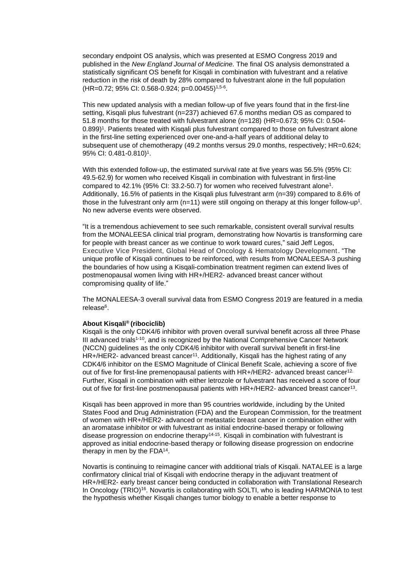secondary endpoint OS analysis, which was presented at ESMO Congress 2019 and published in the *New England Journal of Medicine.* The final OS analysis demonstrated a statistically significant OS benefit for Kisqali in combination with fulvestrant and a relative reduction in the risk of death by 28% compared to fulvestrant alone in the full population (HR=0.72; 95% CI: 0.568-0.924; p=0.00455)1,5-6 .

This new updated analysis with a median follow-up of five years found that in the first-line setting, Kisqali plus fulvestrant (n=237) achieved 67.6 months median OS as compared to 51.8 months for those treated with fulvestrant alone (n=128) (HR=0.673; 95% CI: 0.504- 0.899)<sup>1</sup> . Patients treated with Kisqali plus fulvestrant compared to those on fulvestrant alone in the first-line setting experienced over one-and-a-half years of additional delay to subsequent use of chemotherapy (49.2 months versus 29.0 months, respectively; HR=0.624; 95% CI: 0.481-0.810)<sup>1</sup>.

With this extended follow-up, the estimated survival rate at five years was 56.5% (95% CI: 49.5-62.9) for women who received Kisqali in combination with fulvestrant in first-line compared to 42.1% (95% CI: 33.2-50.7) for women who received fulvestrant alone 1 . Additionally, 16.5% of patients in the Kisqali plus fulvestrant arm (n=39) compared to 8.6% of those in the fulvestrant only arm (n=11) were still ongoing on therapy at this longer follow-up<sup>1</sup>. No new adverse events were observed.

"It is a tremendous achievement to see such remarkable, consistent overall survival results from the MONALEESA clinical trial program, demonstrating how Novartis is transforming care for people with breast cancer as we continue to work toward cures," said Jeff Legos, Executive Vice President, Global Head of Oncology & Hematology Development. "The unique profile of Kisqali continues to be reinforced, with results from MONALEESA-3 pushing the boundaries of how using a Kisqali-combination treatment regimen can extend lives of postmenopausal women living with HR+/HER2- advanced breast cancer without compromising quality of life."

The MONALEESA-3 overall survival data from ESMO Congress 2019 are featured in a [media](https://www.novartis.com/news/media-releases/novartis-kisqali-delivers-consistently-superior-overall-survival-monaleesa-3-trial-demonstrates-more-life-postmenopausal-hrher2-advanced-breast-cancer-patients)  [release](https://www.novartis.com/news/media-releases/novartis-kisqali-delivers-consistently-superior-overall-survival-monaleesa-3-trial-demonstrates-more-life-postmenopausal-hrher2-advanced-breast-cancer-patients)<sup>6</sup>.

#### **About Kisqali® (ribociclib)**

Kisqali is the only CDK4/6 inhibitor with proven overall survival benefit across all three Phase III advanced trials<sup>1-10</sup>, and is recognized by the National Comprehensive Cancer Network (NCCN) guidelines as the only CDK4/6 inhibitor with overall survival benefit in first-line HR+/HER2- advanced breast cancer<sup>11</sup>. Additionally, Kisqali has the highest rating of any CDK4/6 inhibitor on the ESMO Magnitude of Clinical Benefit Scale, achieving a score of five out of five for first-line premenopausal patients with HR+/HER2- advanced breast cancer<sup>12.</sup> Further, Kisqali in combination with either letrozole or fulvestrant has received a score of four out of five for first-line postmenopausal patients with HR+/HER2- advanced breast cancer<sup>13</sup>.

Kisqali has been approved in more than 95 countries worldwide, including by the United States Food and Drug Administration (FDA) and the European Commission, for the treatment of women with HR+/HER2- advanced or metastatic breast cancer in combination either with an aromatase inhibitor or with fulvestrant as initial endocrine-based therapy or following disease progression on endocrine therapy<sup>14-15</sup>. Kisqali in combination with fulvestrant is approved as initial endocrine-based therapy or following disease progression on endocrine therapy in men by the FDA<sup>14</sup>.

Novartis is continuing to reimagine cancer with additional trials of Kisqali. NATALEE is a large confirmatory clinical trial of Kisqali with endocrine therapy in the adjuvant treatment of HR+/HER2- early breast cancer being conducted in collaboration with Translational Research In Oncology (TRIO)<sup>16</sup>. Novartis is collaborating with SOLTI, who is leading HARMONIA to test the hypothesis whether Kisqali changes tumor biology to enable a better response to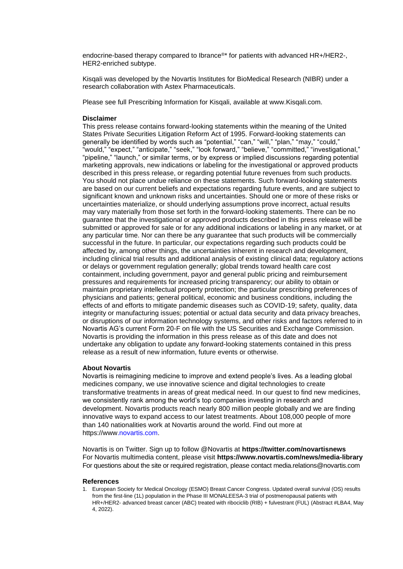endocrine-based therapy compared to Ibrance®\* for patients with advanced HR+/HER2-, HER2-enriched subtype.

Kisqali was developed by the Novartis Institutes for BioMedical Research (NIBR) under a research collaboration with Astex Pharmaceuticals.

Please see full Prescribing Information for Kisqali, available at [www.Kisqali.com.](https://www.us.kisqali.com/metastatic-breast-cancer/)

#### **Disclaimer**

This press release contains forward-looking statements within the meaning of the United States Private Securities Litigation Reform Act of 1995. Forward-looking statements can generally be identified by words such as "potential," "can," "will," "plan," "may," "could," "would," "expect," "anticipate," "seek," "look forward," "believe," "committed," "investigational," "pipeline," "launch," or similar terms, or by express or implied discussions regarding potential marketing approvals, new indications or labeling for the investigational or approved products described in this press release, or regarding potential future revenues from such products. You should not place undue reliance on these statements. Such forward-looking statements are based on our current beliefs and expectations regarding future events, and are subject to significant known and unknown risks and uncertainties. Should one or more of these risks or uncertainties materialize, or should underlying assumptions prove incorrect, actual results may vary materially from those set forth in the forward-looking statements. There can be no guarantee that the investigational or approved products described in this press release will be submitted or approved for sale or for any additional indications or labeling in any market, or at any particular time. Nor can there be any guarantee that such products will be commercially successful in the future. In particular, our expectations regarding such products could be affected by, among other things, the uncertainties inherent in research and development, including clinical trial results and additional analysis of existing clinical data; regulatory actions or delays or government regulation generally; global trends toward health care cost containment, including government, payor and general public pricing and reimbursement pressures and requirements for increased pricing transparency; our ability to obtain or maintain proprietary intellectual property protection; the particular prescribing preferences of physicians and patients; general political, economic and business conditions, including the effects of and efforts to mitigate pandemic diseases such as COVID-19; safety, quality, data integrity or manufacturing issues; potential or actual data security and data privacy breaches, or disruptions of our information technology systems, and other risks and factors referred to in Novartis AG's current Form 20-F on file with the US Securities and Exchange Commission. Novartis is providing the information in this press release as of this date and does not undertake any obligation to update any forward-looking statements contained in this press release as a result of new information, future events or otherwise.

#### **About Novartis**

Novartis is reimagining medicine to improve and extend people's lives. As a leading global medicines company, we use innovative science and digital technologies to create transformative treatments in areas of great medical need. In our quest to find new medicines, we consistently rank among the world's top companies investing in research and development. Novartis products reach nearly 800 million people globally and we are finding innovative ways to expand access to our latest treatments. About 108,000 people of more than 140 nationalities work at Novartis around the world. Find out more at [https://www.](https://www/)novartis.com.

Novartis is on Twitter. Sign up to follow @Novartis at **<https://twitter.com/novartisnews>** For Novartis multimedia content, please visit **https:/[/www.novartis.com/news/media-library](http://www.novartis.com/news/media-library)** For questions about the site or required registration, please contact [media.relations@novartis.com](mailto:media.relations@novartis.com)

#### **References**

1. European Society for Medical Oncology (ESMO) Breast Cancer Congress. Updated overall survival (OS) results from the first-line (1L) population in the Phase III MONALEESA-3 trial of postmenopausal patients with HR+/HER2- advanced breast cancer (ABC) treated with ribociclib (RIB) + fulvestrant (FUL) (Abstract #LBA4, May 4, 2022).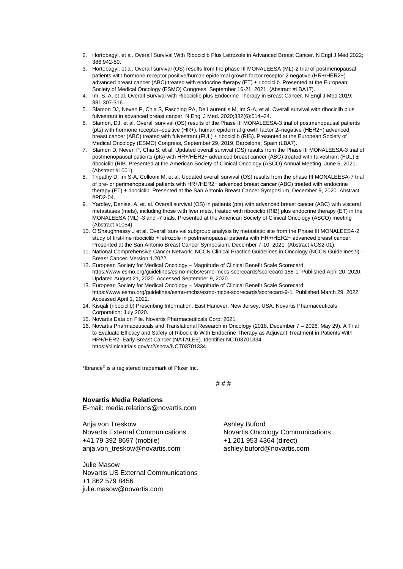- 2. Hortobagyi, et al. Overall Survival With Ribociclib Plus Letrozole in Advanced Breast Cancer. N Engl J Med 2022; 386:942-50.
- 3. Hortobagyi, et al. Overall survival (OS) results from the phase III MONALEESA (ML)-2 trial of postmenopausal patients with hormone receptor positive/human epidermal growth factor receptor 2 negative (HR+/HER2−) advanced breast cancer (ABC) treated with endocrine therapy (ET) ± ribociclib. Presented at the European Society of Medical Oncology (ESMO) Congress, September 16-21, 2021, (Abstract #LBA17).
- 4. Im, S. A. et al. Overall Survival with Ribociclib plus Endocrine Therapy in Breast Cancer. N Engl J Med 2019; 381:307-316.
- 5. Slamon DJ, Neven P, Chia S, Fasching PA, De Laurentiis M, Im S-A, et al. Overall survival with ribociclib plus fulvestrant in advanced breast cancer. N Engl J Med. 2020;382(6):514–24.
- 6. Slamon, DJ, et al. Overall survival (OS) results of the Phase III MONALEESA-3 trial of postmenopausal patients (pts) with hormone receptor–positive (HR+), human epidermal growth factor 2–negative (HER2−) advanced breast cancer (ABC) treated with fulvestrant (FUL) ± ribociclib (RIB). Presented at the European Society of Medical Oncology (ESMO) Congress, September 29, 2019, Barcelona, Spain (LBA7).
- 7. Slamon D, Neven P, Chia S, et al. Updated overall survival (OS) results from the Phase III MONALEESA-3 trial of postmenopausal patients (pts) with HR+/HER2− advanced breast cancer (ABC) treated with fulvestrant (FUL) ± ribociclib (RIB. Presented at the American Society of Clinical Oncology (ASCO) Annual Meeting, June 5, 2021, (Abstract #1001).
- 8. Tripathy D, Im S-A, Colleoni M, et al, Updated overall survival (OS) results from the phase III MONALEESA-7 trial of pre- or perimenopausal patients with HR+/HER2− advanced breast cancer (ABC) treated with endocrine therapy (ET) ± ribociclib. Presented at the San Antonio Breast Cancer Symposium, December 9, 2020. Abstract #PD2-04.
- 9. Yardley, Denise, A. et. al. Overall survival (OS) in patients (pts) with advanced breast cancer (ABC) with visceral metastases (mets), including those with liver mets, treated with ribociclib (RIB) plus endocrine therapy (ET) in the MONALEESA (ML) -3 and -7 trials. Presented at the American Society of Clinical Oncology (ASCO) meeting (Abstract #1054).
- 10. O'Shaughnessy J et al. Overall survival subgroup analysis by metastatic site from the Phase III MONALEESA-2 study of first-line ribociclib + letrozole in postmenopausal patients with HR+/HER2− advanced breast cancer. Presented at the San Antonio Breast Cancer Symposium, December 7-10, 2021. (Abstract #GS2-01).
- 11. National Comprehensive Cancer Network. NCCN Clinical Practice Guidelines in Oncology (NCCN Guidelines®) Breast Cancer. Version 1.2022.
- 12. European Society for Medical Oncology Magnitude of Clinical Benefit Scale Scorecard. https://www.esmo.org/guidelines/esmo-mcbs/esmo-mcbs-scorecards/scorecard-158-1. Published April 20, 2020. Updated August 21, 2020. Accessed September 9, 2020.
- 13. European Society for Medical Oncology Magnitude of Clinical Benefit Scale Scorecard. [https://www.esmo.org/guidelines/esmo-mcbs/esmo-mcbs-scorecards/scorecard-9-1.](https://www.esmo.org/guidelines/esmo-mcbs/esmo-mcbs-scorecards/scorecard-9-1) Published March 29, 2022. Accessed April 1, 2022.
- 14. Kisqali (ribociclib) Prescribing Information. East Hanover, New Jersey, USA: Novartis Pharmaceuticals Corporation; July 2020.
- 15. Novartis Data on File. Novartis Pharmaceuticals Corp: 2021.
- 16. Novartis Pharmaceuticals and Translational Research in Oncology (2018, December 7 2026, May 29). A Trial to Evaluate Efficacy and Safety of Ribociclib With Endocrine Therapy as Adjuvant Treatment in Patients With HR+/HER2- Early Breast Cancer (NATALEE). Identifier NCT03701334. https://clinicaltrials.gov/ct2/show/NCT03701334.

\*Ibrance® is a registered trademark of Pfizer Inc.

# # #

#### **Novartis Media Relations**

E-mail: [media.relations@novartis.com](mailto:media.relations@novartis.com)

Anja von Treskow Novartis External Communications +41 79 392 8697 (mobile) [anja.von\\_treskow@novartis.com](mailto:anja.von_treskow@novartis.com)

Julie Masow Novartis US External Communications +1 862 579 8456 julie.masow@novartis.com

Ashley Buford Novartis Oncology Communications +1 201 953 4364 (direct) [ashley.buford@novartis.com](mailto:ashley.buford@novartis.com)